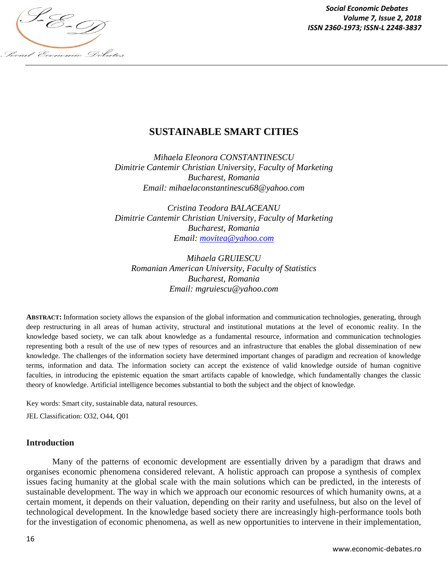

*Social Economic Debates Volume 7, Issue 2, 2018*

# **SUSTAINABLE SMART CITIES**

*Mihaela Eleonora CONSTANTINESCU Dimitrie Cantemir Christian University, Faculty of Marketing Bucharest, Romania Email: mihaelaconstantinescu68@yahoo.com*

*Cristina Teodora BALACEANU Dimitrie Cantemir Christian University, Faculty of Marketing Bucharest, Romania Email: movitea@yahoo.com*

*Mihaela GRUIESCU Romanian American University, Faculty of Statistics Bucharest, Romania Email: mgruiescu@yahoo.com*

**ABSTRACT:** Information society allows the expansion of the global information and communication technologies, generating, through deep restructuring in all areas of human activity, structural and institutional mutations at the level of economic reality. In the knowledge based society, we can talk about knowledge as a fundamental resource, information and communication technologies representing both a result of the use of new types of resources and an infrastructure that enables the global dissemination of new knowledge. The challenges of the information society have determined important changes of paradigm and recreation of knowledge terms, information and data. The information society can accept the existence of valid knowledge outside of human cognitive faculties, in introducing the epistemic equation the smart artifacts capable of knowledge, which fundamentally changes the classic theory of knowledge. Artificial intelligence becomes substantial to both the subject and the object of knowledge.

Key words: Smart city, sustainable data, natural resources.

JEL Classification: O32, O44, Q01

#### **Introduction**

Many of the patterns of economic development are essentially driven by a paradigm that draws and organises economic phenomena considered relevant. A holistic approach can propose a synthesis of complex issues facing humanity at the global scale with the main solutions which can be predicted, in the interests of sustainable development. The way in which we approach our economic resources of which humanity owns, at a certain moment, it depends on their valuation, depending on their rarity and usefulness, but also on the level of technological development. In the knowledge based society there are increasingly high-performance tools both for the investigation of economic phenomena, as well as new opportunities to intervene in their implementation,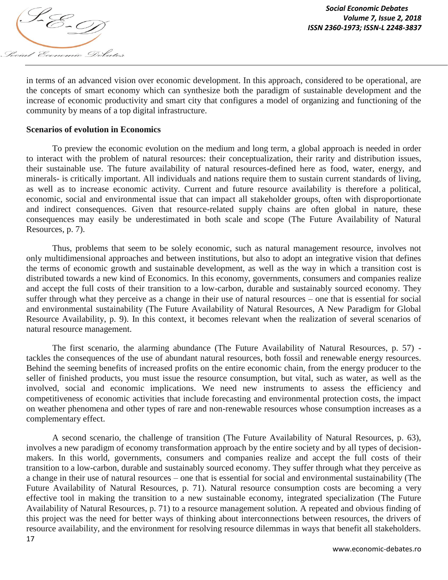

in terms of an advanced vision over economic development. In this approach, considered to be operational, are the concepts of smart economy which can synthesize both the paradigm of sustainable development and the increase of economic productivity and smart city that configures a model of organizing and functioning of the community by means of a top digital infrastructure.

#### **Scenarios of evolution in Economics**

To preview the economic evolution on the medium and long term, a global approach is needed in order to interact with the problem of natural resources: their conceptualization, their rarity and distribution issues, their sustainable use. The future availability of natural resources-defined here as food, water, energy, and minerals- is critically important. All individuals and nations require them to sustain current standards of living, as well as to increase economic activity. Current and future resource availability is therefore a political, economic, social and environmental issue that can impact all stakeholder groups, often with disproportionate and indirect consequences. Given that resource-related supply chains are often global in nature, these consequences may easily be underestimated in both scale and scope (The Future Availability of Natural Resources, p. 7).

Thus, problems that seem to be solely economic, such as natural management resource, involves not only multidimensional approaches and between institutions, but also to adopt an integrative vision that defines the terms of economic growth and sustainable development, as well as the way in which a transition cost is distributed towards a new kind of Economics. In this economy, governments, consumers and companies realize and accept the full costs of their transition to a low-carbon, durable and sustainably sourced economy. They suffer through what they perceive as a change in their use of natural resources – one that is essential for social and environmental sustainability (The Future Availability of Natural Resources, A New Paradigm for Global Resource Availability, p. 9). In this context, it becomes relevant when the realization of several scenarios of natural resource management.

The first scenario, the alarming abundance (The Future Availability of Natural Resources, p. 57) tackles the consequences of the use of abundant natural resources, both fossil and renewable energy resources. Behind the seeming benefits of increased profits on the entire economic chain, from the energy producer to the seller of finished products, you must issue the resource consumption, but vital, such as water, as well as the involved, social and economic implications. We need new instruments to assess the efficiency and competitiveness of economic activities that include forecasting and environmental protection costs, the impact on weather phenomena and other types of rare and non-renewable resources whose consumption increases as a complementary effect.

A second scenario, the challenge of transition (The Future Availability of Natural Resources, p. 63), involves a new paradigm of economy transformation approach by the entire society and by all types of decisionmakers. In this world, governments, consumers and companies realize and accept the full costs of their transition to a low-carbon, durable and sustainably sourced economy. They suffer through what they perceive as a change in their use of natural resources – one that is essential for social and environmental sustainability (The Future Availability of Natural Resources, p. 71). Natural resource consumption costs are becoming a very effective tool in making the transition to a new sustainable economy, integrated specialization (The Future Availability of Natural Resources, p. 71) to a resource management solution. A repeated and obvious finding of this project was the need for better ways of thinking about interconnections between resources, the drivers of resource availability, and the environment for resolving resource dilemmas in ways that benefit all stakeholders.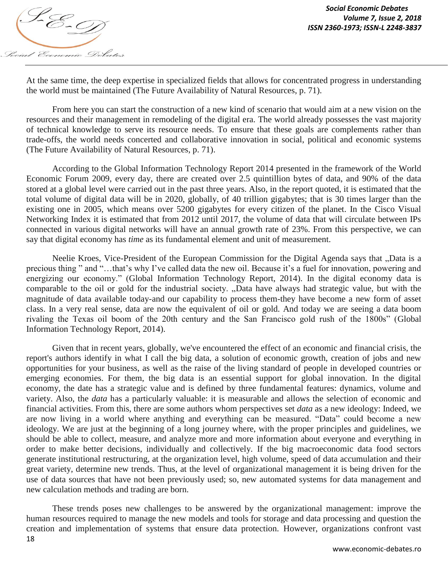

At the same time, the deep expertise in specialized fields that allows for concentrated progress in understanding the world must be maintained (The Future Availability of Natural Resources, p. 71).

From here you can start the construction of a new kind of scenario that would aim at a new vision on the resources and their management in remodeling of the digital era. The world already possesses the vast majority of technical knowledge to serve its resource needs. To ensure that these goals are complements rather than trade-offs, the world needs concerted and collaborative innovation in social, political and economic systems (The Future Availability of Natural Resources, p. 71).

According to the Global Information Technology Report 2014 presented in the framework of the World Economic Forum 2009, every day, there are created over 2.5 quintillion bytes of data, and 90% of the data stored at a global level were carried out in the past three years. Also, in the report quoted, it is estimated that the total volume of digital data will be in 2020, globally, of 40 trillion gigabytes; that is 30 times larger than the existing one in 2005, which means over 5200 gigabytes for every citizen of the planet. In the Cisco Visual Networking Index it is estimated that from 2012 until 2017, the volume of data that will circulate between IPs connected in various digital networks will have an annual growth rate of 23%. From this perspective, we can say that digital economy has *time* as its fundamental element and unit of measurement.

Neelie Kroes, Vice-President of the European Commission for the Digital Agenda says that "Data is a precious thing " and "...that's why I've called data the new oil. Because it's a fuel for innovation, powering and energizing our economy." (Global Information Technology Report, 2014). In the digital economy data is comparable to the oil or gold for the industrial society. "Data have always had strategic value, but with the magnitude of data available today-and our capability to process them-they have become a new form of asset class. In a very real sense, data are now the equivalent of oil or gold. And today we are seeing a data boom rivaling the Texas oil boom of the 20th century and the San Francisco gold rush of the 1800s" (Global Information Technology Report, 2014).

Given that in recent years, globally, we've encountered the effect of an economic and financial crisis, the report's authors identify in what I call the big data, a solution of economic growth, creation of jobs and new opportunities for your business, as well as the raise of the living standard of people in developed countries or emerging economies. For them, the big data is an essential support for global innovation. In the digital economy, the date has a strategic value and is defined by three fundamental features: dynamics, volume and variety. Also, the *data* has a particularly valuable: it is measurable and allows the selection of economic and financial activities. From this, there are some authors whom perspectives set *data* as a new ideology: Indeed, we are now living in a world where anything and everything can be measured. "Data" could become a new ideology. We are just at the beginning of a long journey where, with the proper principles and guidelines, we should be able to collect, measure, and analyze more and more information about everyone and everything in order to make better decisions, individually and collectively. If the big macroeconomic data food sectors generate institutional restructuring, at the organization level, high volume, speed of data accumulation and their great variety, determine new trends. Thus, at the level of organizational management it is being driven for the use of data sources that have not been previously used; so, new automated systems for data management and new calculation methods and trading are born.

18 These trends poses new challenges to be answered by the organizational management: improve the human resources required to manage the new models and tools for storage and data processing and question the creation and implementation of systems that ensure data protection. However, organizations confront vast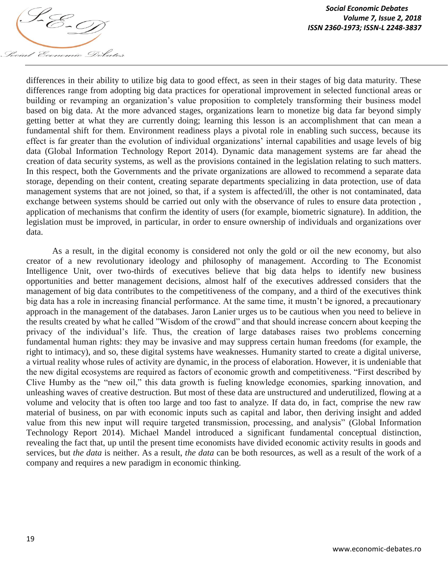

differences in their ability to utilize big data to good effect, as seen in their stages of big data maturity. These differences range from adopting big data practices for operational improvement in selected functional areas or building or revamping an organization's value proposition to completely transforming their business model based on big data. At the more advanced stages, organizations learn to monetize big data far beyond simply getting better at what they are currently doing; learning this lesson is an accomplishment that can mean a fundamental shift for them. Environment readiness plays a pivotal role in enabling such success, because its effect is far greater than the evolution of individual organizations' internal capabilities and usage levels of big data (Global Information Technology Report 2014). Dynamic data management systems are far ahead the creation of data security systems, as well as the provisions contained in the legislation relating to such matters. In this respect, both the Governments and the private organizations are allowed to recommend a separate data storage, depending on their content, creating separate departments specializing in data protection, use of data management systems that are not joined, so that, if a system is affected/ill, the other is not contaminated, data exchange between systems should be carried out only with the observance of rules to ensure data protection , application of mechanisms that confirm the identity of users (for example, biometric signature). In addition, the legislation must be improved, in particular, in order to ensure ownership of individuals and organizations over data.

As a result, in the digital economy is considered not only the gold or oil the new economy, but also creator of a new revolutionary ideology and philosophy of management. According to The Economist Intelligence Unit, over two-thirds of executives believe that big data helps to identify new business opportunities and better management decisions, almost half of the executives addressed considers that the management of big data contributes to the competitiveness of the company, and a third of the executives think big data has a role in increasing financial performance. At the same time, it mustn't be ignored, a precautionary approach in the management of the databases. Jaron Lanier urges us to be cautious when you need to believe in the results created by what he called "Wisdom of the crowd" and that should increase concern about keeping the privacy of the individual"s life. Thus, the creation of large databases raises two problems concerning fundamental human rights: they may be invasive and may suppress certain human freedoms (for example, the right to intimacy), and so, these digital systems have weaknesses. Humanity started to create a digital universe, a virtual reality whose rules of activity are dynamic, in the process of elaboration. However, it is undeniable that the new digital ecosystems are required as factors of economic growth and competitiveness. "First described by Clive Humby as the "new oil," this data growth is fueling knowledge economies, sparking innovation, and unleashing waves of creative destruction. But most of these data are unstructured and underutilized, flowing at a volume and velocity that is often too large and too fast to analyze. If data do, in fact, comprise the new raw material of business, on par with economic inputs such as capital and labor, then deriving insight and added value from this new input will require targeted transmission, processing, and analysis" (Global Information Technology Report 2014). Michael Mandel introduced a significant fundamental conceptual distinction, revealing the fact that, up until the present time economists have divided economic activity results in goods and services, but *the data* is neither. As a result, *the data* can be both resources, as well as a result of the work of a company and requires a new paradigm in economic thinking.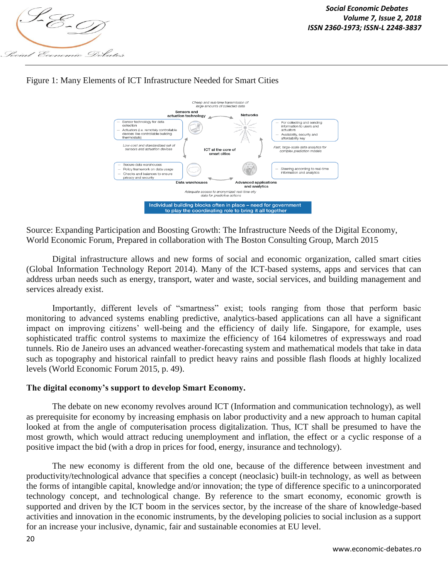





Source: Expanding Participation and Boosting Growth: The Infrastructure Needs of the Digital Economy, World Economic Forum, Prepared in collaboration with The Boston Consulting Group, March 2015

Digital infrastructure allows and new forms of social and economic organization, called smart cities (Global Information Technology Report 2014). Many of the ICT-based systems, apps and services that can address urban needs such as energy, transport, water and waste, social services, and building management and services already exist.

Importantly, different levels of "smartness" exist; tools ranging from those that perform basic monitoring to advanced systems enabling predictive, analytics-based applications can all have a significant impact on improving citizens' well-being and the efficiency of daily life. Singapore, for example, uses sophisticated traffic control systems to maximize the efficiency of 164 kilometres of expressways and road tunnels. Rio de Janeiro uses an advanced weather-forecasting system and mathematical models that take in data such as topography and historical rainfall to predict heavy rains and possible flash floods at highly localized levels (World Economic Forum 2015, p. 49).

## **The digital economy's support to develop Smart Economy.**

The debate on new economy revolves around ICT (Information and communication technology), as well as prerequisite for economy by increasing emphasis on labor productivity and a new approach to human capital looked at from the angle of computerisation process digitalization. Thus, ICT shall be presumed to have the most growth, which would attract reducing unemployment and inflation, the effect or a cyclic response of a positive impact the bid (with a drop in prices for food, energy, insurance and technology).

The new economy is different from the old one, because of the difference between investment and productivity/technological advance that specifies a concept (neoclasic) built-in technology, as well as between the forms of intangible capital, knowledge and/or innovation; the type of difference specific to a unincorporated technology concept, and technological change. By reference to the smart economy, economic growth is supported and driven by the ICT boom in the services sector, by the increase of the share of knowledge-based activities and innovation in the economic instruments, by the developing policies to social inclusion as a support for an increase your inclusive, dynamic, fair and sustainable economies at EU level.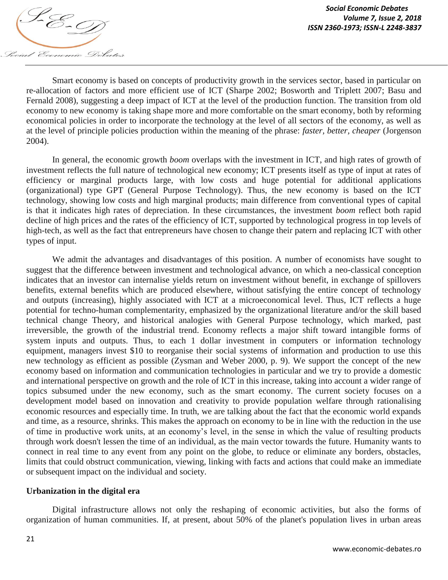

Smart economy is based on concepts of productivity growth in the services sector, based in particular on re-allocation of factors and more efficient use of ICT (Sharpe 2002; Bosworth and Triplett 2007; Basu and Fernald 2008), suggesting a deep impact of ICT at the level of the production function. The transition from old economy to new economy is taking shape more and more comfortable on the smart economy, both by reforming economical policies in order to incorporate the technology at the level of all sectors of the economy, as well as at the level of principle policies production within the meaning of the phrase: *faster, better, cheaper* (Jorgenson 2004).

In general, the economic growth *boom* overlaps with the investment in ICT, and high rates of growth of investment reflects the full nature of technological new economy; ICT presents itself as type of input at rates of efficiency or marginal products large, with low costs and huge potential for additional applications (organizational) type GPT (General Purpose Technology). Thus, the new economy is based on the ICT technology, showing low costs and high marginal products; main difference from conventional types of capital is that it indicates high rates of depreciation. In these circumstances, the investment *boom* reflect both rapid decline of high prices and the rates of the efficiency of ICT, supported by technological progress in top levels of high-tech, as well as the fact that entrepreneurs have chosen to change their patern and replacing ICT with other types of input.

We admit the advantages and disadvantages of this position. A number of economists have sought to suggest that the difference between investment and technological advance, on which a neo-classical conception indicates that an investor can internalise yields return on investment without benefit, in exchange of spillovers benefits, external benefits which are produced elsewhere, without satisfying the entire concept of technology and outputs (increasing), highly associated with ICT at a microeconomical level. Thus, ICT reflects a huge potential for techno-human complementarity, emphasized by the organizational literature and/or the skill based technical change Theory, and historical analogies with General Purpose technology, which marked, past irreversible, the growth of the industrial trend. Economy reflects a major shift toward intangible forms of system inputs and outputs. Thus, to each 1 dollar investment in computers or information technology equipment, managers invest \$10 to reorganise their social systems of information and production to use this new technology as efficient as possible (Zysman and Weber 2000, p. 9). We support the concept of the new economy based on information and communication technologies in particular and we try to provide a domestic and international perspective on growth and the role of ICT in this increase, taking into account a wider range of topics subsumed under the new economy, such as the smart economy. The current society focuses on a development model based on innovation and creativity to provide population welfare through rationalising economic resources and especially time. In truth, we are talking about the fact that the economic world expands and time, as a resource, shrinks. This makes the approach on economy to be in line with the reduction in the use of time in productive work units, at an economy"s level, in the sense in which the value of resulting products through work doesn't lessen the time of an individual, as the main vector towards the future. Humanity wants to connect in real time to any event from any point on the globe, to reduce or eliminate any borders, obstacles, limits that could obstruct communication, viewing, linking with facts and actions that could make an immediate or subsequent impact on the individual and society.

## **Urbanization in the digital era**

Digital infrastructure allows not only the reshaping of economic activities, but also the forms of organization of human communities. If, at present, about 50% of the planet's population lives in urban areas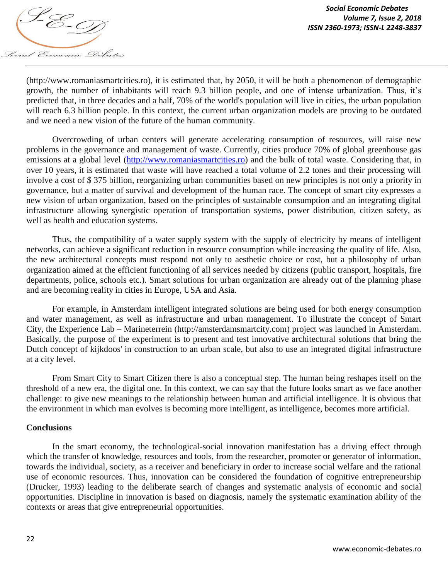

(http://www.romaniasmartcities.ro), it is estimated that, by 2050, it will be both a phenomenon of demographic growth, the number of inhabitants will reach 9.3 billion people, and one of intense urbanization. Thus, it's predicted that, in three decades and a half, 70% of the world's population will live in cities, the urban population will reach 6.3 billion people. In this context, the current urban organization models are proving to be outdated and we need a new vision of the future of the human community.

Overcrowding of urban centers will generate accelerating consumption of resources, will raise new problems in the governance and management of waste. Currently, cities produce 70% of global greenhouse gas emissions at a global level (http://www.romaniasmartcities.ro) and the bulk of total waste. Considering that, in over 10 years, it is estimated that waste will have reached a total volume of 2.2 tones and their processing will involve a cost of \$ 375 billion, reorganizing urban communities based on new principles is not only a priority in governance, but a matter of survival and development of the human race. The concept of smart city expresses a new vision of urban organization, based on the principles of sustainable consumption and an integrating digital infrastructure allowing synergistic operation of transportation systems, power distribution, citizen safety, as well as health and education systems.

Thus, the compatibility of a water supply system with the supply of electricity by means of intelligent networks, can achieve a significant reduction in resource consumption while increasing the quality of life. Also, the new architectural concepts must respond not only to aesthetic choice or cost, but a philosophy of urban organization aimed at the efficient functioning of all services needed by citizens (public transport, hospitals, fire departments, police, schools etc.). Smart solutions for urban organization are already out of the planning phase and are becoming reality in cities in Europe, USA and Asia.

For example, in Amsterdam intelligent integrated solutions are being used for both energy consumption and water management, as well as infrastructure and urban management. To illustrate the concept of Smart City, the Experience Lab – Marineterrein (http://amsterdamsmartcity.com) project was launched in Amsterdam. Basically, the purpose of the experiment is to present and test innovative architectural solutions that bring the Dutch concept of kijkdoos' in construction to an urban scale, but also to use an integrated digital infrastructure at a city level.

From Smart City to Smart Citizen there is also a conceptual step. The human being reshapes itself on the threshold of a new era, the digital one. In this context, we can say that the future looks smart as we face another challenge: to give new meanings to the relationship between human and artificial intelligence. It is obvious that the environment in which man evolves is becoming more intelligent, as intelligence, becomes more artificial.

## **Conclusions**

In the smart economy, the technological-social innovation manifestation has a driving effect through which the transfer of knowledge, resources and tools, from the researcher, promoter or generator of information, towards the individual, society, as a receiver and beneficiary in order to increase social welfare and the rational use of economic resources. Thus, innovation can be considered the foundation of cognitive entrepreneurship (Drucker, 1993) leading to the deliberate search of changes and systematic analysis of economic and social opportunities. Discipline in innovation is based on diagnosis, namely the systematic examination ability of the contexts or areas that give entrepreneurial opportunities.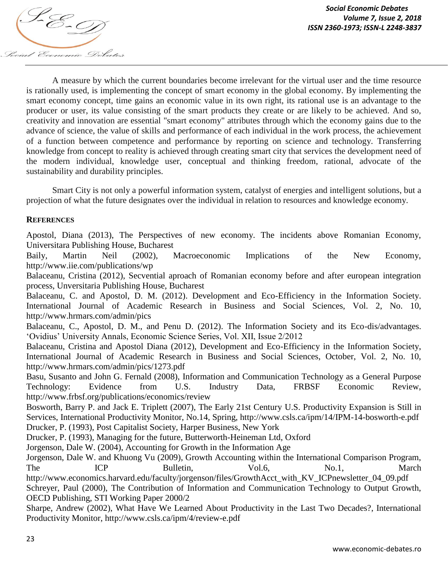

A measure by which the current boundaries become irrelevant for the virtual user and the time resource is rationally used, is implementing the concept of smart economy in the global economy. By implementing the smart economy concept, time gains an economic value in its own right, its rational use is an advantage to the producer or user, its value consisting of the smart products they create or are likely to be achieved. And so, creativity and innovation are essential "smart economy" attributes through which the economy gains due to the advance of science, the value of skills and performance of each individual in the work process, the achievement of a function between competence and performance by reporting on science and technology. Transferring knowledge from concept to reality is achieved through creating smart city that services the development need of the modern individual, knowledge user, conceptual and thinking freedom, rational, advocate of the sustainability and durability principles.

Smart City is not only a powerful information system, catalyst of energies and intelligent solutions, but a projection of what the future designates over the individual in relation to resources and knowledge economy.

## **REFERENCES**

Apostol, Diana (2013), The Perspectives of new economy. The incidents above Romanian Economy, Universitara Publishing House, Bucharest

Baily, Martin Neil (2002), Macroeconomic Implications of the New Economy, http://www.iie.com/publications/wp

Balaceanu, Cristina (2012), Secvential aproach of Romanian economy before and after european integration process, Unversitaria Publishing House, Bucharest

Balaceanu, C. and Apostol, D. M. (2012). Development and Eco-Efficiency in the Information Society. International Journal of Academic Research in Business and Social Sciences, Vol. 2, No. 10, http://www.hrmars.com/admin/pics

Balaceanu, C., Apostol, D. M., and Penu D. (2012). The Information Society and its Eco-dis/advantages. "Ovidius" University Annals, Economic Science Series, Vol. XII, Issue 2/2012

Balaceanu, Cristina and Apostol Diana (2012), Development and Eco-Efficiency in the Information Society, International Journal of Academic Research in Business and Social Sciences, October, Vol. 2, No. 10, http://www.hrmars.com/admin/pics/1273.pdf

Basu, Susanto and John G. Fernald (2008), Information and Communication Technology as a General Purpose Technology: Evidence from U.S. Industry Data, FRBSF Economic Review, http://www.frbsf.org/publications/economics/review

Bosworth, Barry P. and Jack E. Triplett (2007), The Early 21st Century U.S. Productivity Expansion is Still in Services, International Productivity Monitor, No.14, Spring, http://www.csls.ca/ipm/14/IPM-14-bosworth-e.pdf Drucker, P. (1993), Post Capitalist Society, Harper Business, New York

Drucker, P. (1993), Managing for the future, Butterworth-Heineman Ltd, Oxford

Jorgenson, Dale W. (2004), Accounting for Growth in the Information Age

Jorgenson, Dale W. and Khuong Vu (2009), Growth Accounting within the International Comparison Program, The ICP Bulletin, Vol.6, No.1, March http://www.economics.harvard.edu/faculty/jorgenson/files/GrowthAcct\_with\_KV\_ICPnewsletter\_04\_09.pdf Schreyer, Paul (2000), The Contribution of Information and Communication Technology to Output Growth, OECD Publishing, STI Working Paper 2000/2

Sharpe, Andrew (2002), What Have We Learned About Productivity in the Last Two Decades?, International Productivity Monitor, http://www.csls.ca/ipm/4/review-e.pdf